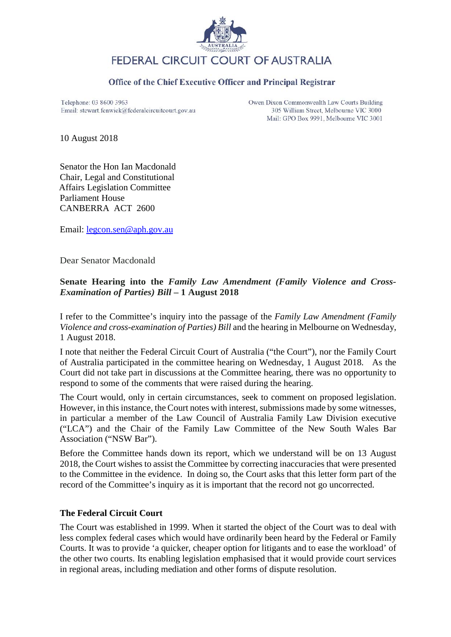

### Office of the Chief Executive Officer and Principal Registrar

Telephone: 03 8600 3963 Email: stewart.fenwick@federalcircuitcourt.gov.au Owen Dixon Commonwealth Law Courts Building 305 William Street, Melbourne VIC 3000 Mail: GPO Box 9991, Melbourne VIC 3001

10 August 2018

Senator the Hon Ian Macdonald Chair, Legal and Constitutional Affairs Legislation Committee Parliament House CANBERRA ACT 2600

Email: legcon.sen@aph.gov.au

Dear Senator Macdonald

# **Senate Hearing into the** *Family Law Amendment (Family Violence and Cross-Examination of Parties) Bill* **– 1 August 2018**

I refer to the Committee's inquiry into the passage of the *Family Law Amendment (Family Violence and cross-examination of Parties) Bill* and the hearing in Melbourne on Wednesday, 1 August 2018.

I note that neither the Federal Circuit Court of Australia ("the Court"), nor the Family Court of Australia participated in the committee hearing on Wednesday, 1 August 2018. As the Court did not take part in discussions at the Committee hearing, there was no opportunity to respond to some of the comments that were raised during the hearing.

The Court would, only in certain circumstances, seek to comment on proposed legislation. However, in this instance, the Court notes with interest, submissions made by some witnesses, in particular a member of the Law Council of Australia Family Law Division executive ("LCA") and the Chair of the Family Law Committee of the New South Wales Bar Association ("NSW Bar").

Before the Committee hands down its report, which we understand will be on 13 August 2018, the Court wishes to assist the Committee by correcting inaccuracies that were presented to the Committee in the evidence. In doing so, the Court asks that this letter form part of the record of the Committee's inquiry as it is important that the record not go uncorrected.

## **The Federal Circuit Court**

The Court was established in 1999. When it started the object of the Court was to deal with less complex federal cases which would have ordinarily been heard by the Federal or Family Courts. It was to provide 'a quicker, cheaper option for litigants and to ease the workload' of the other two courts. Its enabling legislation emphasised that it would provide court services in regional areas, including mediation and other forms of dispute resolution.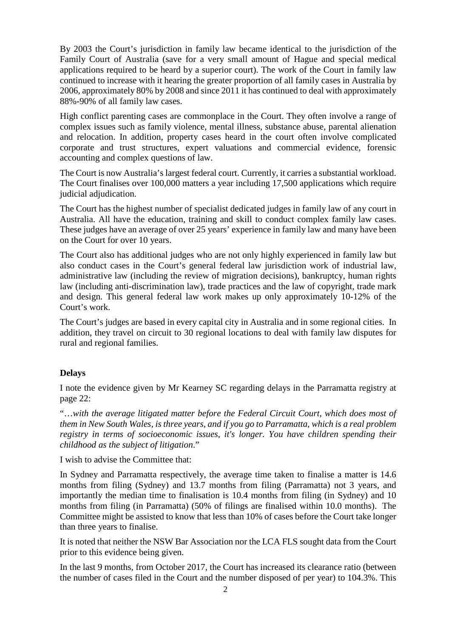By 2003 the Court's jurisdiction in family law became identical to the jurisdiction of the Family Court of Australia (save for a very small amount of Hague and special medical applications required to be heard by a superior court). The work of the Court in family law continued to increase with it hearing the greater proportion of all family cases in Australia by 2006, approximately 80% by 2008 and since 2011 it has continued to deal with approximately 88%-90% of all family law cases.

High conflict parenting cases are commonplace in the Court. They often involve a range of complex issues such as family violence, mental illness, substance abuse, parental alienation and relocation. In addition, property cases heard in the court often involve complicated corporate and trust structures, expert valuations and commercial evidence, forensic accounting and complex questions of law.

The Court is now Australia's largest federal court. Currently, it carries a substantial workload. The Court finalises over 100,000 matters a year including 17,500 applications which require judicial adjudication.

The Court has the highest number of specialist dedicated judges in family law of any court in Australia. All have the education, training and skill to conduct complex family law cases. These judges have an average of over 25 years' experience in family law and many have been on the Court for over 10 years.

The Court also has additional judges who are not only highly experienced in family law but also conduct cases in the Court's general federal law jurisdiction work of industrial law, administrative law (including the review of migration decisions), bankruptcy, human rights law (including anti-discrimination law), trade practices and the law of copyright, trade mark and design. This general federal law work makes up only approximately 10-12% of the Court's work.

The Court's judges are based in every capital city in Australia and in some regional cities. In addition, they travel on circuit to 30 regional locations to deal with family law disputes for rural and regional families.

## **Delays**

I note the evidence given by Mr Kearney SC regarding delays in the Parramatta registry at page 22:

"…*with the average litigated matter before the Federal Circuit Court, which does most of them in New South Wales, is three years, and if you go to Parramatta, which is a real problem registry in terms of socioeconomic issues, it's longer. You have children spending their childhood as the subject of litigation*."

I wish to advise the Committee that:

In Sydney and Parramatta respectively, the average time taken to finalise a matter is 14.6 months from filing (Sydney) and 13.7 months from filing (Parramatta) not 3 years, and importantly the median time to finalisation is 10.4 months from filing (in Sydney) and 10 months from filing (in Parramatta) (50% of filings are finalised within 10.0 months). The Committee might be assisted to know that less than 10% of cases before the Court take longer than three years to finalise.

It is noted that neither the NSW Bar Association nor the LCA FLS sought data from the Court prior to this evidence being given.

In the last 9 months, from October 2017, the Court has increased its clearance ratio (between the number of cases filed in the Court and the number disposed of per year) to 104.3%. This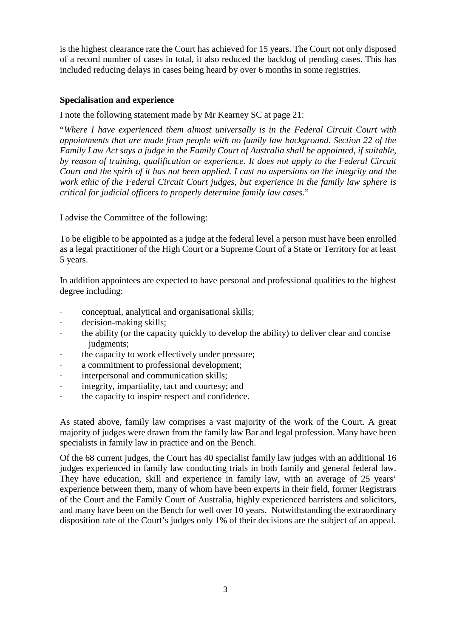is the highest clearance rate the Court has achieved for 15 years. The Court not only disposed of a record number of cases in total, it also reduced the backlog of pending cases. This has included reducing delays in cases being heard by over 6 months in some registries.

# **Specialisation and experience**

I note the following statement made by Mr Kearney SC at page 21:

"*Where I have experienced them almost universally is in the Federal Circuit Court with appointments that are made from people with no family law background. Section 22 of the Family Law Act says a judge in the Family Court of Australia shall be appointed, if suitable, by reason of training, qualification or experience. It does not apply to the Federal Circuit Court and the spirit of it has not been applied. I cast no aspersions on the integrity and the work ethic of the Federal Circuit Court judges, but experience in the family law sphere is critical for judicial officers to properly determine family law cases*."

I advise the Committee of the following:

To be eligible to be appointed as a judge at the federal level a person must have been enrolled as a legal practitioner of the High Court or a Supreme Court of a State or Territory for at least 5 years.

In addition appointees are expected to have personal and professional qualities to the highest degree including:

- · conceptual, analytical and organisational skills;
- decision-making skills;
- · the ability (or the capacity quickly to develop the ability) to deliver clear and concise judgments;
- · the capacity to work effectively under pressure;
- · a commitment to professional development;
- · interpersonal and communication skills;
- · integrity, impartiality, tact and courtesy; and
- · the capacity to inspire respect and confidence.

As stated above, family law comprises a vast majority of the work of the Court. A great majority of judges were drawn from the family law Bar and legal profession. Many have been specialists in family law in practice and on the Bench.

Of the 68 current judges, the Court has 40 specialist family law judges with an additional 16 judges experienced in family law conducting trials in both family and general federal law. They have education, skill and experience in family law, with an average of 25 years' experience between them, many of whom have been experts in their field, former Registrars of the Court and the Family Court of Australia, highly experienced barristers and solicitors, and many have been on the Bench for well over 10 years. Notwithstanding the extraordinary disposition rate of the Court's judges only 1% of their decisions are the subject of an appeal.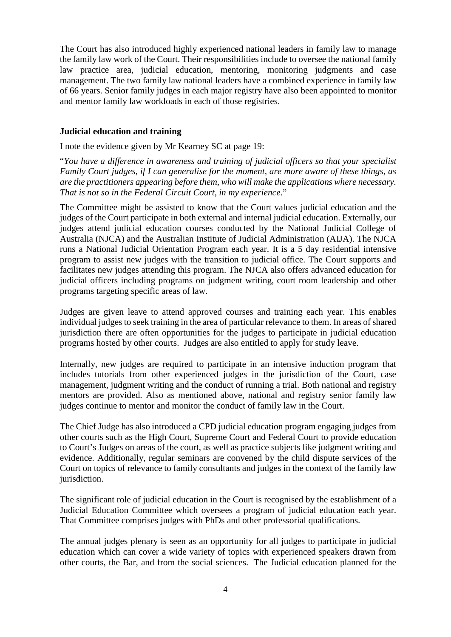The Court has also introduced highly experienced national leaders in family law to manage the family law work of the Court. Their responsibilities include to oversee the national family law practice area, judicial education, mentoring, monitoring judgments and case management. The two family law national leaders have a combined experience in family law of 66 years. Senior family judges in each major registry have also been appointed to monitor and mentor family law workloads in each of those registries.

## **Judicial education and training**

I note the evidence given by Mr Kearney SC at page 19:

"*You have a difference in awareness and training of judicial officers so that your specialist Family Court judges, if I can generalise for the moment, are more aware of these things, as are the practitioners appearing before them, who will make the applications where necessary. That is not so in the Federal Circuit Court, in my experience*."

The Committee might be assisted to know that the Court values judicial education and the judges of the Court participate in both external and internal judicial education. Externally, our judges attend judicial education courses conducted by the National Judicial College of Australia (NJCA) and the Australian Institute of Judicial Administration (AIJA). The NJCA runs a National Judicial Orientation Program each year. It is a 5 day residential intensive program to assist new judges with the transition to judicial office. The Court supports and facilitates new judges attending this program. The NJCA also offers advanced education for judicial officers including programs on judgment writing, court room leadership and other programs targeting specific areas of law.

Judges are given leave to attend approved courses and training each year. This enables individual judges to seek training in the area of particular relevance to them. In areas of shared jurisdiction there are often opportunities for the judges to participate in judicial education programs hosted by other courts. Judges are also entitled to apply for study leave.

Internally, new judges are required to participate in an intensive induction program that includes tutorials from other experienced judges in the jurisdiction of the Court, case management, judgment writing and the conduct of running a trial. Both national and registry mentors are provided. Also as mentioned above, national and registry senior family law judges continue to mentor and monitor the conduct of family law in the Court.

The Chief Judge has also introduced a CPD judicial education program engaging judges from other courts such as the High Court, Supreme Court and Federal Court to provide education to Court's Judges on areas of the court, as well as practice subjects like judgment writing and evidence. Additionally, regular seminars are convened by the child dispute services of the Court on topics of relevance to family consultants and judges in the context of the family law jurisdiction.

The significant role of judicial education in the Court is recognised by the establishment of a Judicial Education Committee which oversees a program of judicial education each year. That Committee comprises judges with PhDs and other professorial qualifications.

The annual judges plenary is seen as an opportunity for all judges to participate in judicial education which can cover a wide variety of topics with experienced speakers drawn from other courts, the Bar, and from the social sciences. The Judicial education planned for the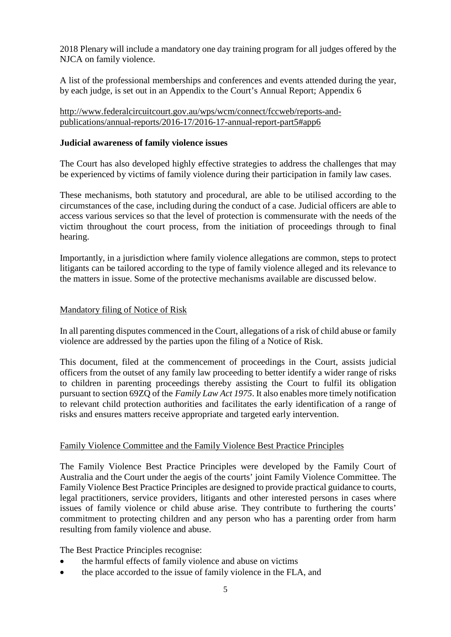2018 Plenary will include a mandatory one day training program for all judges offered by the NJCA on family violence.

A list of the professional memberships and conferences and events attended during the year, by each judge, is set out in an Appendix to the Court's Annual Report; Appendix 6

http://www.federalcircuitcourt.gov.au/wps/wcm/connect/fccweb/reports-andpublications/annual-reports/2016-17/2016-17-annual-report-part5#app6

## **Judicial awareness of family violence issues**

The Court has also developed highly effective strategies to address the challenges that may be experienced by victims of family violence during their participation in family law cases.

These mechanisms, both statutory and procedural, are able to be utilised according to the circumstances of the case, including during the conduct of a case. Judicial officers are able to access various services so that the level of protection is commensurate with the needs of the victim throughout the court process, from the initiation of proceedings through to final hearing.

Importantly, in a jurisdiction where family violence allegations are common, steps to protect litigants can be tailored according to the type of family violence alleged and its relevance to the matters in issue. Some of the protective mechanisms available are discussed below.

# Mandatory filing of Notice of Risk

In all parenting disputes commenced in the Court, allegations of a risk of child abuse or family violence are addressed by the parties upon the filing of a Notice of Risk.

This document, filed at the commencement of proceedings in the Court, assists judicial officers from the outset of any family law proceeding to better identify a wider range of risks to children in parenting proceedings thereby assisting the Court to fulfil its obligation pursuant to section 69ZQ of the *Family Law Act 1975*. It also enables more timely notification to relevant child protection authorities and facilitates the early identification of a range of risks and ensures matters receive appropriate and targeted early intervention.

## Family Violence Committee and the Family Violence Best Practice Principles

The Family Violence Best Practice Principles were developed by the Family Court of Australia and the Court under the aegis of the courts' joint Family Violence Committee. The Family Violence Best Practice Principles are designed to provide practical guidance to courts, legal practitioners, service providers, litigants and other interested persons in cases where issues of family violence or child abuse arise. They contribute to furthering the courts' commitment to protecting children and any person who has a parenting order from harm resulting from family violence and abuse.

The Best Practice Principles recognise:

- the harmful effects of family violence and abuse on victims
- the place accorded to the issue of family violence in the FLA, and